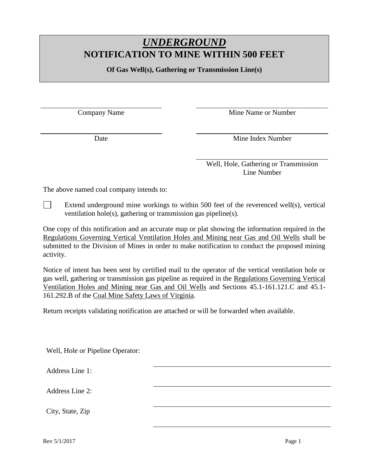## *UNDERGROUND* **NOTIFICATION TO MINE WITHIN 500 FEET**

**Of Gas Well(s), Gathering or Transmission Line(s)** 

Company Name Mine Name or Number

Date Mine Index Number

Well, Hole, Gathering or Transmission Line Number

The above named coal company intends to:

 $\Box$ Extend underground mine workings to within 500 feet of the reverenced well(s), vertical ventilation hole(s), gathering or transmission gas pipeline(s).

One copy of this notification and an accurate map or plat showing the information required in the Regulations Governing Vertical Ventilation Holes and Mining near Gas and Oil Wells shall be submitted to the Division of Mines in order to make notification to conduct the proposed mining activity.

Notice of intent has been sent by certified mail to the operator of the vertical ventilation hole or gas well, gathering or transmission gas pipeline as required in the Regulations Governing Vertical Ventilation Holes and Mining near Gas and Oil Wells and Sections 45.1-161.121.C and 45.1- 161.292.B of the Coal Mine Safety Laws of Virginia.

Return receipts validating notification are attached or will be forwarded when available.

Well, Hole or Pipeline Operator:

Address Line 1:

Address Line 2:

City, State, Zip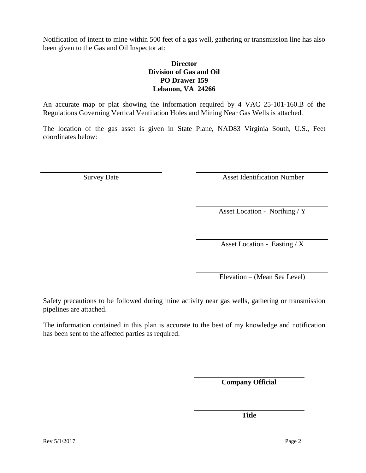Notification of intent to mine within 500 feet of a gas well, gathering or transmission line has also been given to the Gas and Oil Inspector at:

## **Director Division of Gas and Oil PO Drawer 159 Lebanon, VA 24266**

An accurate map or plat showing the information required by 4 VAC 25-101-160.B of the Regulations Governing Vertical Ventilation Holes and Mining Near Gas Wells is attached.

The location of the gas asset is given in State Plane, NAD83 Virginia South, U.S., Feet coordinates below:

Survey Date Asset Identification Number

Asset Location - Northing / Y

Asset Location - Easting /  $\overline{X}$ 

Elevation – (Mean Sea Level)

Safety precautions to be followed during mine activity near gas wells, gathering or transmission pipelines are attached.

The information contained in this plan is accurate to the best of my knowledge and notification has been sent to the affected parties as required.

**Company Official**

**Title**